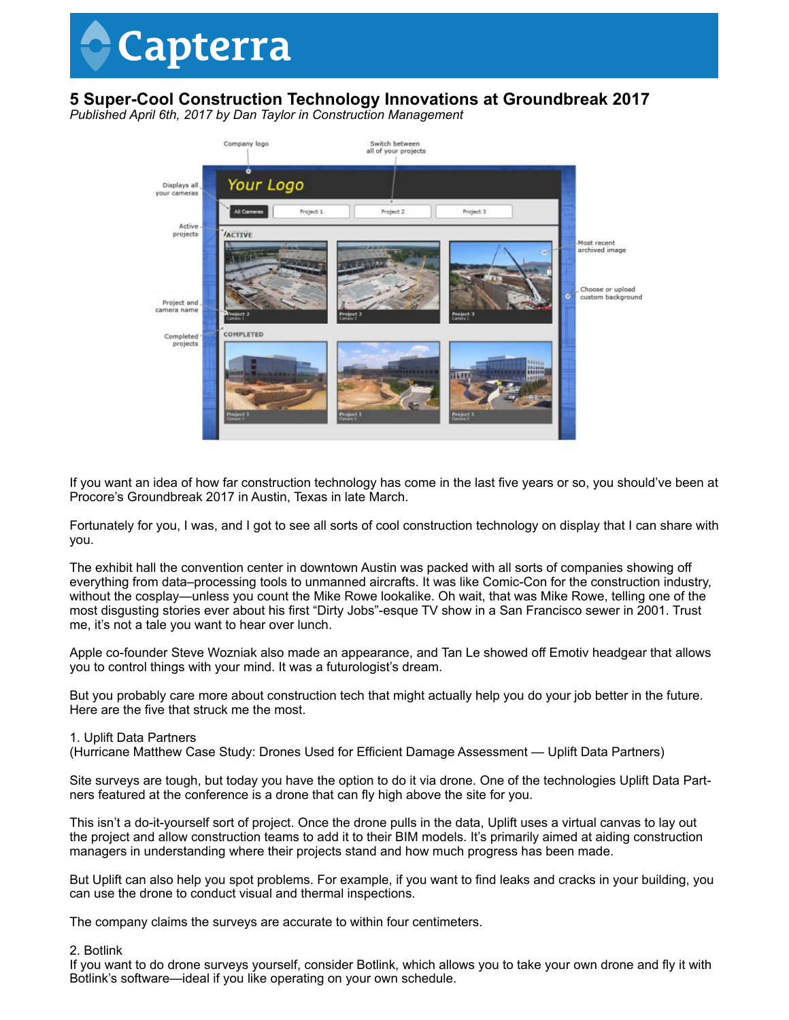# Capterra

## **5 Super-Cool Construction Technology Innovations at Groundbreak 2017**

*Published April 6th, 2017 by Dan Taylor in Construction Management*



If you want an idea of how far construction technology has come in the last five years or so, you should've been at Procore's Groundbreak 2017 in Austin, Texas in late March.

Fortunately for you, I was, and I got to see all sorts of cool construction technology on display that I can share with you.

The exhibit hall the convention center in downtown Austin was packed with all sorts of companies showing off everything from data–processing tools to unmanned aircrafts. It was like Comic-Con for the construction industry, without the cosplay—unless you count the Mike Rowe lookalike. Oh wait, that was Mike Rowe, telling one of the most disgusting stories ever about his first "Dirty Jobs"-esque TV show in a San Francisco sewer in 2001. Trust me, it's not a tale you want to hear over lunch.

Apple co-founder Steve Wozniak also made an appearance, and Tan Le showed off Emotiv headgear that allows you to control things with your mind. It was a futurologist's dream.

But you probably care more about construction tech that might actually help you do your job better in the future. Here are the five that struck me the most.

#### 1. Uplift Data Partners

(Hurricane Matthew Case Study: Drones Used for Efficient Damage Assessment — Uplift Data Partners)

Site surveys are tough, but today you have the option to do it via drone. One of the technologies Uplift Data Partners featured at the conference is a drone that can fly high above the site for you.

This isn't a do-it-yourself sort of project. Once the drone pulls in the data, Uplift uses a virtual canvas to lay out the project and allow construction teams to add it to their BIM models. It's primarily aimed at aiding construction managers in understanding where their projects stand and how much progress has been made.

But Uplift can also help you spot problems. For example, if you want to find leaks and cracks in your building, you can use the drone to conduct visual and thermal inspections.

The company claims the surveys are accurate to within four centimeters.

#### 2. Botlink

If you want to do drone surveys yourself, consider Botlink, which allows you to take your own drone and fly it with Botlink's software—ideal if you like operating on your own schedule.